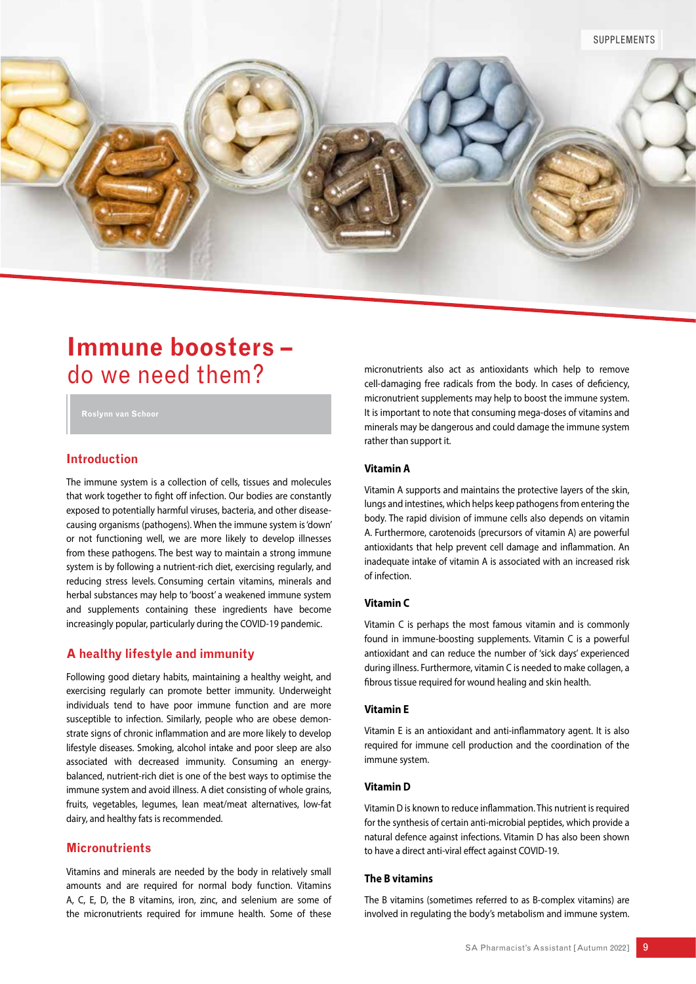

# **Immune boosters –**  do we need them?

# **Introduction**

The immune system is a collection of cells, tissues and molecules that work together to fight off infection. Our bodies are constantly exposed to potentially harmful viruses, bacteria, and other diseasecausing organisms (pathogens). When the immune system is 'down' or not functioning well, we are more likely to develop illnesses from these pathogens. The best way to maintain a strong immune system is by following a nutrient-rich diet, exercising regularly, and reducing stress levels. Consuming certain vitamins, minerals and herbal substances may help to 'boost' a weakened immune system and supplements containing these ingredients have become increasingly popular, particularly during the COVID-19 pandemic.

# **A healthy lifestyle and immunity**

Following good dietary habits, maintaining a healthy weight, and exercising regularly can promote better immunity. Underweight individuals tend to have poor immune function and are more susceptible to infection. Similarly, people who are obese demonstrate signs of chronic inflammation and are more likely to develop lifestyle diseases. Smoking, alcohol intake and poor sleep are also associated with decreased immunity. Consuming an energybalanced, nutrient-rich diet is one of the best ways to optimise the immune system and avoid illness. A diet consisting of whole grains, fruits, vegetables, legumes, lean meat/meat alternatives, low-fat dairy, and healthy fats is recommended.

# **Micronutrients**

Vitamins and minerals are needed by the body in relatively small amounts and are required for normal body function. Vitamins A, C, E, D, the B vitamins, iron, zinc, and selenium are some of the micronutrients required for immune health. Some of these micronutrients also act as antioxidants which help to remove cell-damaging free radicals from the body. In cases of deficiency, micronutrient supplements may help to boost the immune system. It is important to note that consuming mega-doses of vitamins and minerals may be dangerous and could damage the immune system rather than support it.

### **Vitamin A**

Vitamin A supports and maintains the protective layers of the skin, lungs and intestines, which helps keep pathogens from entering the body. The rapid division of immune cells also depends on vitamin A. Furthermore, carotenoids (precursors of vitamin A) are powerful antioxidants that help prevent cell damage and inflammation. An inadequate intake of vitamin A is associated with an increased risk of infection.

### **Vitamin C**

Vitamin C is perhaps the most famous vitamin and is commonly found in immune-boosting supplements. Vitamin C is a powerful antioxidant and can reduce the number of 'sick days' experienced during illness. Furthermore, vitamin C is needed to make collagen, a fibrous tissue required for wound healing and skin health.

### **Vitamin E**

Vitamin E is an antioxidant and anti-inflammatory agent. It is also required for immune cell production and the coordination of the immune system.

### **Vitamin D**

Vitamin D is known to reduce inflammation. This nutrient is required for the synthesis of certain anti-microbial peptides, which provide a natural defence against infections. Vitamin D has also been shown to have a direct anti-viral effect against COVID-19.

# **The B vitamins**

The B vitamins (sometimes referred to as B-complex vitamins) are involved in regulating the body's metabolism and immune system.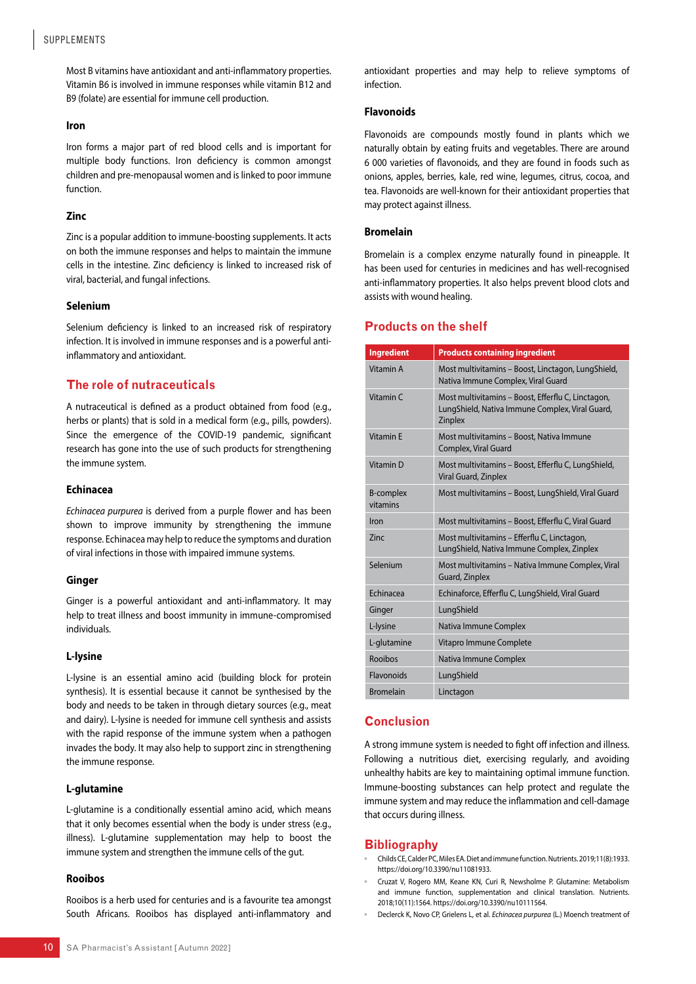# SUPPLEMENTS

Most B vitamins have antioxidant and anti-inflammatory properties. Vitamin B6 is involved in immune responses while vitamin B12 and B9 (folate) are essential for immune cell production.

#### **Iron**

Iron forms a major part of red blood cells and is important for multiple body functions. Iron deficiency is common amongst children and pre-menopausal women and is linked to poor immune function.

### **Zinc**

Zinc is a popular addition to immune-boosting supplements. It acts on both the immune responses and helps to maintain the immune cells in the intestine. Zinc deficiency is linked to increased risk of viral, bacterial, and fungal infections.

### **Selenium**

Selenium deficiency is linked to an increased risk of respiratory infection. It is involved in immune responses and is a powerful antiinflammatory and antioxidant.

# **The role of nutraceuticals**

A nutraceutical is defined as a product obtained from food (e.g., herbs or plants) that is sold in a medical form (e.g., pills, powders). Since the emergence of the COVID-19 pandemic, significant research has gone into the use of such products for strengthening the immune system.

### **Echinacea**

*Echinacea purpurea* is derived from a purple flower and has been shown to improve immunity by strengthening the immune response. Echinacea may help to reduce the symptoms and duration of viral infections in those with impaired immune systems.

### **Ginger**

Ginger is a powerful antioxidant and anti-inflammatory. It may help to treat illness and boost immunity in immune-compromised individuals.

### **L-lysine**

L-lysine is an essential amino acid (building block for protein synthesis). It is essential because it cannot be synthesised by the body and needs to be taken in through dietary sources (e.g., meat and dairy). L-lysine is needed for immune cell synthesis and assists with the rapid response of the immune system when a pathogen invades the body. It may also help to support zinc in strengthening the immune response.

### **L-glutamine**

L-glutamine is a conditionally essential amino acid, which means that it only becomes essential when the body is under stress (e.g., illness). L-glutamine supplementation may help to boost the immune system and strengthen the immune cells of the gut.

### **Rooibos**

Rooibos is a herb used for centuries and is a favourite tea amongst South Africans. Rooibos has displayed anti-inflammatory and

### **Flavonoids**

Flavonoids are compounds mostly found in plants which we naturally obtain by eating fruits and vegetables. There are around 6 000 varieties of flavonoids, and they are found in foods such as onions, apples, berries, kale, red wine, legumes, citrus, cocoa, and tea. Flavonoids are well-known for their antioxidant properties that may protect against illness.

### **Bromelain**

Bromelain is a complex enzyme naturally found in pineapple. It has been used for centuries in medicines and has well-recognised anti-inflammatory properties. It also helps prevent blood clots and assists with wound healing.

# **Products on the shelf**

| <b>Ingredient</b>            | <b>Products containing ingredient</b>                                                                            |
|------------------------------|------------------------------------------------------------------------------------------------------------------|
| Vitamin A                    | Most multivitamins – Boost, Linctagon, LungShield,<br>Nativa Immune Complex, Viral Guard                         |
| Vitamin C                    | Most multivitamins – Boost, Efferflu C, Linctagon,<br>LungShield, Nativa Immune Complex, Viral Guard,<br>Zinplex |
| <b>Vitamin F</b>             | Most multivitamins - Boost, Nativa Immune<br>Complex, Viral Guard                                                |
| Vitamin D                    | Most multivitamins – Boost, Efferflu C, LungShield,<br>Viral Guard, Zinplex                                      |
| <b>B-complex</b><br>vitamins | Most multivitamins - Boost, LungShield, Viral Guard                                                              |
| Iron                         | Most multivitamins - Boost, Efferflu C, Viral Guard                                                              |
| 7inc                         | Most multivitamins – Efferflu C, Linctagon,<br>LungShield, Nativa Immune Complex, Zinplex                        |
| Selenium                     | Most multivitamins - Nativa Immune Complex, Viral<br>Guard, Zinplex                                              |
| <b>Fchinacea</b>             | Echinaforce, Efferflu C, LungShield, Viral Guard                                                                 |
| Ginger                       | LungShield                                                                                                       |
| L-lysine                     | Nativa Immune Complex                                                                                            |
| L-glutamine                  | Vitapro Immune Complete                                                                                          |
| Rooibos                      | Nativa Immune Complex                                                                                            |
| Flavonoids                   | LungShield                                                                                                       |
| <b>Bromelain</b>             | Linctagon                                                                                                        |

# **Conclusion**

A strong immune system is needed to fight off infection and illness. Following a nutritious diet, exercising regularly, and avoiding unhealthy habits are key to maintaining optimal immune function. Immune-boosting substances can help protect and regulate the immune system and may reduce the inflammation and cell-damage that occurs during illness.

### **Bibliography**

- Childs CE, Calder PC, Miles EA. Diet and immune function. Nutrients. 2019;11(8):1933. https://doi.org/10.3390/nu11081933.
- Cruzat V, Rogero MM, Keane KN, Curi R, Newsholme P. Glutamine: Metabolism and immune function, supplementation and clinical translation. Nutrients. 2018;10(11):1564. https://doi.org/10.3390/nu10111564.
- Declerck K, Novo CP, Grielens L, et al. *Echinacea purpurea* (L.) Moench treatment of